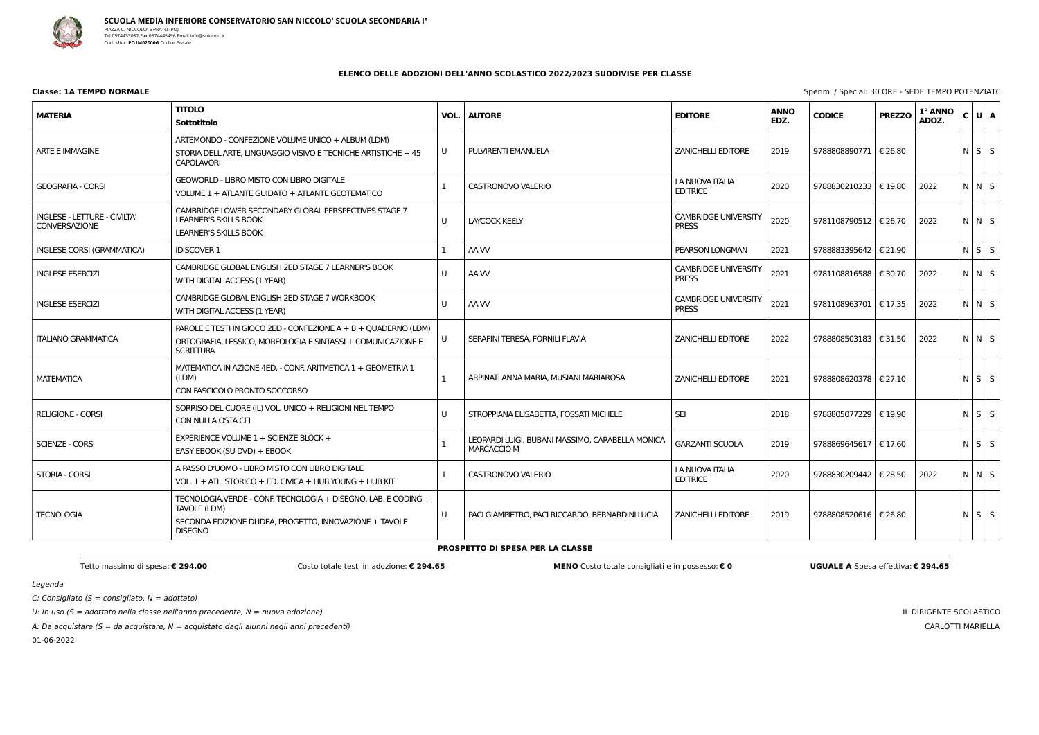

**Classe: 1A TEMPO NORMALE** Sperimi / Special: 30 ORE - SEDE TEMPO POTENZIATO

Legenda

 $C:$  Consigliato (S = consigliato,  $N =$  adottato)

U: In uso ( $S =$  adottato nella classe nell'anno precedente,  $N =$  nuova adozione)

A: Da acquistare (S = da acquistare, N = acquistato dagli alunni negli anni precedenti)

01-06-2022

IL DIRIGENTE SCOLASTICO CARLOTTI MARIELLA

## **ELENCO DELLE ADOZIONI DELL'ANNO SCOLASTICO 2022/2023 SUDDIVISE PER CLASSE**

| <b>MATERIA</b>                                              | <b>TITOLO</b><br><b>Sottotitolo</b>                                                                                                                          | VOL. | <b>AUTORE</b>                                                   | <b>EDITORE</b>                              | <b>ANNO</b><br>EDZ. | <b>CODICE</b>           | <b>PREZZO</b> | 1° ANNO<br>ADOZ. | C U A             |  |
|-------------------------------------------------------------|--------------------------------------------------------------------------------------------------------------------------------------------------------------|------|-----------------------------------------------------------------|---------------------------------------------|---------------------|-------------------------|---------------|------------------|-------------------|--|
| <b>ARTE E IMMAGINE</b>                                      | ARTEMONDO - CONFEZIONE VOLUME UNICO + ALBUM (LDM)<br>STORIA DELL'ARTE. LINGUAGGIO VISIVO E TECNICHE ARTISTICHE + 45<br><b>CAPOLAVORI</b>                     | U    | PULVIRENTI EMANUELA                                             | <b>ZANICHELLI EDITORE</b>                   | 2019                | 9788808890771   € 26.80 |               |                  | $N \mid S \mid S$ |  |
| <b>GEOGRAFIA - CORSI</b>                                    | GEOWORLD - LIBRO MISTO CON LIBRO DIGITALE<br>VOLUME 1 + ATLANTE GUIDATO + ATLANTE GEOTEMATICO                                                                |      | <b>CASTRONOVO VALERIO</b>                                       | LA NUOVA ITALIA<br><b>EDITRICE</b>          | 2020                | 9788830210233           | € 19.80       | 2022             | $N$ $N$ $S$       |  |
| <b>INGLESE - LETTURE - CIVILTA'</b><br><b>CONVERSAZIONE</b> | CAMBRIDGE LOWER SECONDARY GLOBAL PERSPECTIVES STAGE 7<br>LEARNER'S SKILLS BOOK<br><b>LEARNER'S SKILLS BOOK</b>                                               | U    | <b>LAYCOCK KEELY</b>                                            | CAMBRIDGE UNIVERSITY<br><b>PRESS</b>        | 2020                | 9781108790512   € 26.70 |               | 2022             | $N$ $N$ $S$       |  |
| <b>INGLESE CORSI (GRAMMATICA)</b>                           | <b>IDISCOVER 1</b>                                                                                                                                           |      | AA W                                                            | PEARSON LONGMAN                             | 2021                | 9788883395642           | € 21.90       |                  | $N$ $S$ $S$       |  |
| <b>INGLESE ESERCIZI</b>                                     | CAMBRIDGE GLOBAL ENGLISH 2ED STAGE 7 LEARNER'S BOOK<br>WITH DIGITAL ACCESS (1 YEAR)                                                                          | U    | AA W                                                            | <b>CAMBRIDGE UNIVERSITY</b><br><b>PRESS</b> | 2021                | 9781108816588   € 30.70 |               | 2022             | NNS               |  |
| <b>INGLESE ESERCIZI</b>                                     | CAMBRIDGE GLOBAL ENGLISH 2ED STAGE 7 WORKBOOK<br>WITH DIGITAL ACCESS (1 YEAR)                                                                                | U    | AA W                                                            | <b>CAMBRIDGE UNIVERSITY</b><br><b>PRESS</b> | 2021                | 9781108963701   € 17.35 |               | 2022             | $N$ $N$ $S$       |  |
| <b>ITALIANO GRAMMATICA</b>                                  | PAROLE E TESTI IN GIOCO 2ED - CONFEZIONE A + B + QUADERNO (LDM)<br>ORTOGRAFIA, LESSICO, MORFOLOGIA E SINTASSI + COMUNICAZIONE E<br><b>SCRITTURA</b>          | U    | SERAFINI TERESA, FORNILI FLAVIA                                 | <b>ZANICHELLI EDITORE</b>                   | 2022                | 9788808503183   € 31.50 |               | 2022             | N N S             |  |
| <b>MATEMATICA</b>                                           | MATEMATICA IN AZIONE 4ED. - CONF. ARITMETICA 1 + GEOMETRIA 1<br>(LDM)<br>CON FASCICOLO PRONTO SOCCORSO                                                       | 1    | ARPINATI ANNA MARIA, MUSIANI MARIAROSA                          | <b>ZANICHELLI EDITORE</b>                   | 2021                | 9788808620378   € 27.10 |               |                  | $N$ $S$ $S$       |  |
| <b>RELIGIONE - CORSI</b>                                    | SORRISO DEL CUORE (IL) VOL. UNICO + RELIGIONI NEL TEMPO<br>CON NULLA OSTA CEI                                                                                | U    | STROPPIANA ELISABETTA, FOSSATI MICHELE                          | <b>SEI</b>                                  | 2018                | 9788805077229   € 19.90 |               |                  | $N$ $S$ $S$       |  |
| <b>SCIENZE - CORSI</b>                                      | EXPERIENCE VOLUME 1 + SCIENZE BLOCK +<br>EASY EBOOK (SU DVD) + EBOOK                                                                                         |      | LEOPARDI LUIGI, BUBANI MASSIMO, CARABELLA MONICA<br>MARCACCIO M | GARZANTI SCUOLA                             | 2019                | 9788869645617   € 17.60 |               |                  | $N$ $S$ $S$       |  |
| STORIA - CORSI                                              | A PASSO D'UOMO - LIBRO MISTO CON LIBRO DIGITALE<br>VOL. 1 + ATL. STORICO + ED. CIVICA + HUB YOUNG + HUB KIT                                                  |      | <b>CASTRONOVO VALERIO</b>                                       | LA NUOVA ITALIA<br><b>EDITRICE</b>          | 2020                | 9788830209442   € 28.50 |               | 2022             | $N$ $N$ $S$       |  |
| <b>TECNOLOGIA</b>                                           | TECNOLOGIA.VERDE - CONF. TECNOLOGIA + DISEGNO, LAB. E CODING +<br>TAVOLE (LDM)<br>SECONDA EDIZIONE DI IDEA, PROGETTO, INNOVAZIONE + TAVOLE<br><b>DISEGNO</b> | U    | PACI GIAMPIETRO, PACI RICCARDO, BERNARDINI LUCIA                | <b>ZANICHELLI EDITORE</b>                   | 2019                | 9788808520616   € 26.80 |               |                  | $N$ $S$ $S$       |  |

**PROSPETTO DI SPESA PER LA CLASSE**

Tetto massimo di spesa: € 294.00 Costo verale testi in adozione: € 294.65 MENO Costo totale consigliati e in possesso: € 0 UGUALE A Spesa effettiva: € 294.65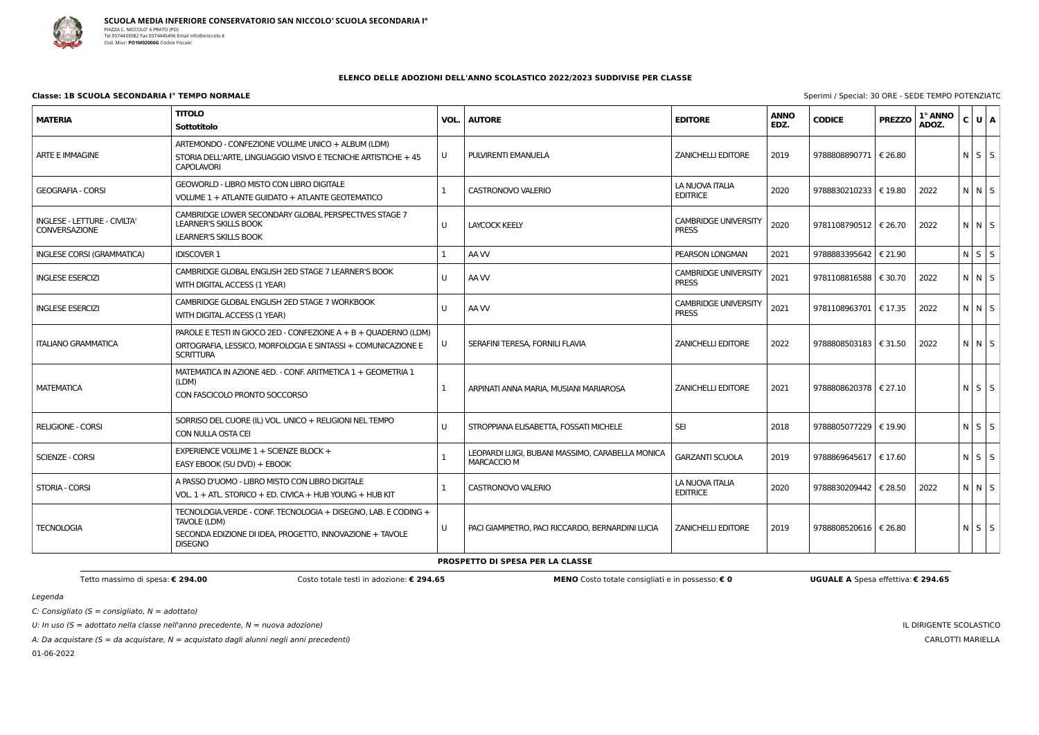

 $C:$  Consigliato (S = consigliato,  $N =$  adottato)

U: In uso ( $S =$  adottato nella classe nell'anno precedente,  $N =$  nuova adozione)

A: Da acquistare ( $S = da$  acquistare,  $N = ac$ quistato dagli alunni negli anni precedenti)

01-06-2022

|  |  | Sperimi / Special: 30 ORE - SEDE TEMPO POTENZIATO |  |
|--|--|---------------------------------------------------|--|

IL DIRIGENTE SCOLASTICO CARLOTTI MARIELLA

#### **ELENCO DELLE ADOZIONI DELL'ANNO SCOLASTICO 2022/2023 SUDDIVISE PER CLASSE**

# **Classe: 1B SCUOLA SECONDARIA I° TEMPO NORMALE** Sperimi / Special: 30 ORE - Sperimi / Special: 30 ORE - Sperimi / Special: 30 ORE - Special: 30 ORE - Special: 30 ORE - Special: 30 ORE - Special: 30 ORE - Special: 30 ORE -

| <b>MATERIA</b>                                       | <b>TITOLO</b><br>Sottotitolo                                                                                                                                 | VOL. | <b>AUTORE</b>                                                          | <b>EDITORE</b>                              | <b>ANNO</b><br>EDZ. | <b>CODICE</b>           | <b>PREZZO</b> | 1° ANNO<br>ADOZ. | C U A       |  |
|------------------------------------------------------|--------------------------------------------------------------------------------------------------------------------------------------------------------------|------|------------------------------------------------------------------------|---------------------------------------------|---------------------|-------------------------|---------------|------------------|-------------|--|
| <b>ARTE E IMMAGINE</b>                               | ARTEMONDO - CONFEZIONE VOLUME UNICO + ALBUM (LDM)<br>STORIA DELL'ARTE, LINGUAGGIO VISIVO E TECNICHE ARTISTICHE + 45<br><b>CAPOLAVORI</b>                     | U    | PULVIRENTI EMANUELA                                                    | <b>ZANICHELLI EDITORE</b>                   | 2019                | 9788808890771   € 26.80 |               |                  | $N$ $S$ $S$ |  |
| <b>GEOGRAFIA - CORSI</b>                             | GEOWORLD - LIBRO MISTO CON LIBRO DIGITALE<br>VOLUME 1 + ATLANTE GUIDATO + ATLANTE GEOTEMATICO                                                                |      | <b>CASTRONOVO VALERIO</b>                                              | LA NUOVA ITALIA<br><b>EDITRICE</b>          | 2020                | 9788830210233 € 19.80   |               | 2022             | $N$ $N$ $S$ |  |
| INGLESE - LETTURE - CIVILTA'<br><b>CONVERSAZIONE</b> | CAMBRIDGE LOWER SECONDARY GLOBAL PERSPECTIVES STAGE 7<br><b>LEARNER'S SKILLS BOOK</b><br><b>LEARNER'S SKILLS BOOK</b>                                        | U    | <b>LAYCOCK KEELY</b>                                                   | <b>CAMBRIDGE UNIVERSITY</b><br><b>PRESS</b> | 2020                | 9781108790512   € 26.70 |               | 2022             | $N$ $N$ $S$ |  |
| <b>INGLESE CORSI (GRAMMATICA)</b>                    | <b>IDISCOVER 1</b>                                                                                                                                           |      | AA W                                                                   | PEARSON LONGMAN                             | 2021                | 9788883395642           | € 21.90       |                  | $N$ $S$ $S$ |  |
| <b>INGLESE ESERCIZI</b>                              | CAMBRIDGE GLOBAL ENGLISH 2ED STAGE 7 LEARNER'S BOOK<br>WITH DIGITAL ACCESS (1 YEAR)                                                                          | U    | AA W                                                                   | <b>CAMBRIDGE UNIVERSITY</b><br><b>PRESS</b> | 2021                | 9781108816588   € 30.70 |               | 2022             | NNS         |  |
| <b>INGLESE ESERCIZI</b>                              | CAMBRIDGE GLOBAL ENGLISH 2ED STAGE 7 WORKBOOK<br>WITH DIGITAL ACCESS (1 YEAR)                                                                                | U    | AA W                                                                   | <b>CAMBRIDGE UNIVERSITY</b><br><b>PRESS</b> | 2021                | 9781108963701 € 17.35   |               | 2022             | $N$ $N$ $S$ |  |
| <b>ITALIANO GRAMMATICA</b>                           | PAROLE E TESTI IN GIOCO 2ED - CONFEZIONE A + B + QUADERNO (LDM)<br>ORTOGRAFIA, LESSICO, MORFOLOGIA E SINTASSI + COMUNICAZIONE E<br><b>SCRITTURA</b>          | U    | SERAFINI TERESA, FORNILI FLAVIA                                        | <b>ZANICHELLI EDITORE</b>                   | 2022                | 9788808503183   € 31.50 |               | 2022             | N N S       |  |
| <b>MATEMATICA</b>                                    | MATEMATICA IN AZIONE 4ED. - CONF. ARITMETICA 1 + GEOMETRIA 1<br>(LDM)<br>CON FASCICOLO PRONTO SOCCORSO                                                       |      | ARPINATI ANNA MARIA, MUSIANI MARIAROSA                                 | <b>ZANICHELLI EDITORE</b>                   | 2021                | 9788808620378   € 27.10 |               |                  | $N$ $S$ $S$ |  |
| <b>RELIGIONE - CORSI</b>                             | SORRISO DEL CUORE (IL) VOL. UNICO + RELIGIONI NEL TEMPO<br>CON NULLA OSTA CEI                                                                                | U    | STROPPIANA ELISABETTA, FOSSATI MICHELE                                 | <b>SEI</b>                                  | 2018                | 9788805077229           | € 19.90       |                  | $N$ $S$ $S$ |  |
| <b>SCIENZE - CORSI</b>                               | EXPERIENCE VOLUME $1 +$ SCIENZE BLOCK +<br>EASY EBOOK (SU DVD) + EBOOK                                                                                       |      | LEOPARDI LUIGI, BUBANI MASSIMO, CARABELLA MONICA<br><b>MARCACCIO M</b> | <b>GARZANTI SCUOLA</b>                      | 2019                | 9788869645617   € 17.60 |               |                  | $N$ $S$ $S$ |  |
| <b>STORIA - CORSI</b>                                | A PASSO D'UOMO - LIBRO MISTO CON LIBRO DIGITALE<br>VOL, $1 + ATL$ , STORICO + ED, CIVICA + HUB YOUNG + HUB KIT                                               |      | <b>CASTRONOVO VALERIO</b>                                              | LA NUOVA ITALIA<br><b>EDITRICE</b>          | 2020                | 9788830209442   € 28.50 |               | 2022             | $N$ $N$ $S$ |  |
| <b>TECNOLOGIA</b>                                    | TECNOLOGIA.VERDE - CONF. TECNOLOGIA + DISEGNO, LAB. E CODING +<br>TAVOLE (LDM)<br>SECONDA EDIZIONE DI IDEA, PROGETTO, INNOVAZIONE + TAVOLE<br><b>DISEGNO</b> | U    | PACI GIAMPIETRO, PACI RICCARDO, BERNARDINI LUCIA                       | <b>ZANICHELLI EDITORE</b>                   | 2019                | 9788808520616   € 26.80 |               |                  | $N$ $S$ $S$ |  |

#### **PROSPETTO DI SPESA PER LA CLASSE**

Tetto massimo di spesa: € 294.00 Costo totale testi in adozione: € 294.65 MENO Costo totale consigliati e in possesso: € 0 UGUALE A Spesa effettiva: € 294.65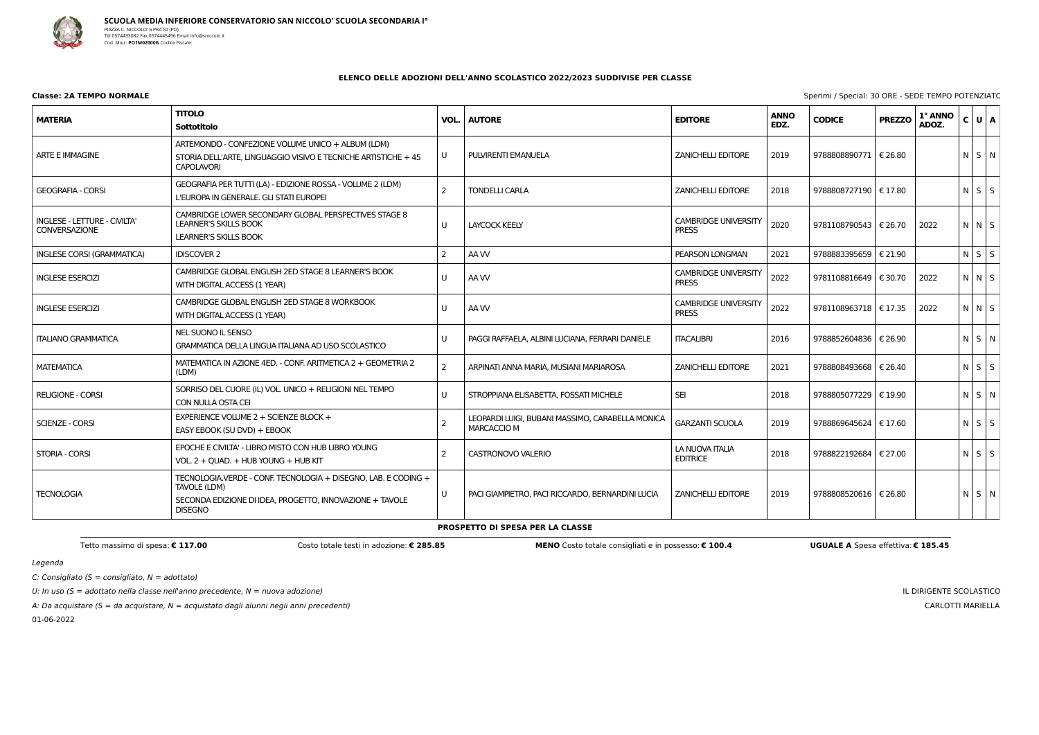

C: Consigliato ( $S =$  consigliato,  $N =$  adottato)

U: In uso ( $S =$  adottato nella classe nell'anno precedente,  $N =$  nuova adozione)

A: Da acquistare ( $S = da$  acquistare,  $N = ac$ quistato dagli alunni negli anni precedenti)

01-06-2022

|  |  | Sperimi / Special: 30 ORE - SEDE TEMPO POTENZIATO |
|--|--|---------------------------------------------------|
|  |  |                                                   |

IL DIRIGENTE SCOLASTICO CARLOTTI MARIELLA

### **ELENCO DELLE ADOZIONI DELL'ANNO SCOLASTICO 2022/2023 SUDDIVISE PER CLASSE**

# **Classe: 2A TEMPO NORMALE** Sperimi / Special: 30

| <b>MATERIA</b>                                       | <b>TITOLO</b><br>Sottotitolo                                                                                                                                 | VOL.                  | <b>AUTORE</b>                                                          | <b>EDITORE</b>                              | <b>ANNO</b><br>EDZ. | <b>CODICE</b>           | <b>PREZZO</b>    | 1° ANNO<br>ADOZ. | C U A             |  |
|------------------------------------------------------|--------------------------------------------------------------------------------------------------------------------------------------------------------------|-----------------------|------------------------------------------------------------------------|---------------------------------------------|---------------------|-------------------------|------------------|------------------|-------------------|--|
| <b>ARTE E IMMAGINE</b>                               | ARTEMONDO - CONFEZIONE VOLUME UNICO + ALBUM (LDM)<br>STORIA DELL'ARTE, LINGUAGGIO VISIVO E TECNICHE ARTISTICHE + 45<br><b>CAPOLAVORI</b>                     | U                     | PULVIRENTI EMANUELA                                                    | <b>ZANICHELLI EDITORE</b>                   | 2019                | 9788808890771   € 26.80 |                  |                  | $N$ $S$ $N$       |  |
| <b>GEOGRAFIA - CORSI</b>                             | GEOGRAFIA PER TUTTI (LA) - EDIZIONE ROSSA - VOLUME 2 (LDM)<br>L'EUROPA IN GENERALE. GLI STATI EUROPEI                                                        | $\mathcal{P}$         | <b>TONDELLI CARLA</b>                                                  | <b>ZANICHELLI EDITORE</b>                   | 2018                | 9788808727190   € 17.80 |                  |                  | $N$ $S$ $S$       |  |
| INGLESE - LETTURE - CIVILTA'<br><b>CONVERSAZIONE</b> | CAMBRIDGE LOWER SECONDARY GLOBAL PERSPECTIVES STAGE 8<br><b>LEARNER'S SKILLS BOOK</b><br><b>LEARNER'S SKILLS BOOK</b>                                        | U                     | <b>LAYCOCK KEELY</b>                                                   | <b>CAMBRIDGE UNIVERSITY</b><br><b>PRESS</b> | 2020                | 9781108790543   € 26.70 |                  | 2022             | $N$ $N$ $S$       |  |
| <b>INGLESE CORSI (GRAMMATICA)</b>                    | <b>IDISCOVER 2</b>                                                                                                                                           | $\mathbf{2}^{\prime}$ | AA W                                                                   | PEARSON LONGMAN                             | 2021                | 9788883395659   € 21.90 |                  |                  | $N$ $S$ $S$       |  |
| <b>INGLESE ESERCIZI</b>                              | CAMBRIDGE GLOBAL ENGLISH 2ED STAGE 8 LEARNER'S BOOK<br>WITH DIGITAL ACCESS (1 YEAR)                                                                          | U                     | AA W                                                                   | <b>CAMBRIDGE UNIVERSITY</b><br><b>PRESS</b> | 2022                | 9781108816649   € 30.70 |                  | 2022             | $N$ $N$ $S$       |  |
| <b>INGLESE ESERCIZI</b>                              | CAMBRIDGE GLOBAL ENGLISH 2ED STAGE 8 WORKBOOK<br>WITH DIGITAL ACCESS (1 YEAR)                                                                                | U                     | AA W                                                                   | <b>CAMBRIDGE UNIVERSITY</b><br><b>PRESS</b> | 2022                | 9781108963718           | $\epsilon$ 17.35 | 2022             | $N$ $N$ $S$       |  |
| <b>ITALIANO GRAMMATICA</b>                           | NEL SUONO IL SENSO<br>GRAMMATICA DELLA LINGUA ITALIANA AD USO SCOLASTICO                                                                                     | U                     | PAGGI RAFFAELA, ALBINI LUCIANA, FERRARI DANIELE                        | <b>ITACALIBRI</b>                           | 2016                | 9788852604836   € 26.90 |                  |                  | NSN               |  |
| <b>MATEMATICA</b>                                    | MATEMATICA IN AZIONE 4ED. - CONF. ARITMETICA 2 + GEOMETRIA 2<br>(LDM)                                                                                        | $\overline{2}$        | ARPINATI ANNA MARIA, MUSIANI MARIAROSA                                 | <b>ZANICHELLI EDITORE</b>                   | 2021                | 9788808493668   € 26.40 |                  |                  | $N \mid S \mid S$ |  |
| <b>RELIGIONE - CORSI</b>                             | SORRISO DEL CUORE (IL) VOL. UNICO + RELIGIONI NEL TEMPO<br>CON NULLA OSTA CEI                                                                                | U                     | STROPPIANA ELISABETTA, FOSSATI MICHELE                                 | <b>SEI</b>                                  | 2018                | 9788805077229   € 19.90 |                  |                  | $N$ $S$ $N$       |  |
| <b>SCIENZE - CORSI</b>                               | EXPERIENCE VOLUME 2 + SCIENZE BLOCK +<br>EASY EBOOK (SU DVD) + EBOOK                                                                                         |                       | LEOPARDI LUIGI, BUBANI MASSIMO, CARABELLA MONICA<br><b>MARCACCIO M</b> | <b>GARZANTI SCUOLA</b>                      | 2019                | 9788869645624   € 17.60 |                  |                  | $N$ $S$ $S$       |  |
| <b>STORIA - CORSI</b>                                | EPOCHE E CIVILTA' - LIBRO MISTO CON HUB LIBRO YOUNG<br>VOL. 2 + QUAD. + HUB YOUNG + HUB KIT                                                                  | $\mathcal{P}$         | CASTRONOVO VALERIO                                                     | LA NUOVA ITALIA<br><b>EDITRICE</b>          | 2018                | 9788822192684   € 27.00 |                  |                  | $N$ $S$ $S$       |  |
| <b>TECNOLOGIA</b>                                    | TECNOLOGIA.VERDE - CONF. TECNOLOGIA + DISEGNO, LAB. E CODING +<br>TAVOLE (LDM)<br>SECONDA EDIZIONE DI IDEA, PROGETTO, INNOVAZIONE + TAVOLE<br><b>DISEGNO</b> | U                     | PACI GIAMPIETRO, PACI RICCARDO, BERNARDINI LUCIA                       | <b>ZANICHELLI EDITORE</b>                   | 2019                | 9788808520616   € 26.80 |                  |                  | NSN               |  |

**PROSPETTO DI SPESA PER LA CLASSE**

Tetto massimo di spesa: € 117.00 Costo totale testi in adozione: € 285.85 MENO Costo totale consigliati e in possesso: € 100.4 UGUALE A Spesa effettiva: € 185.45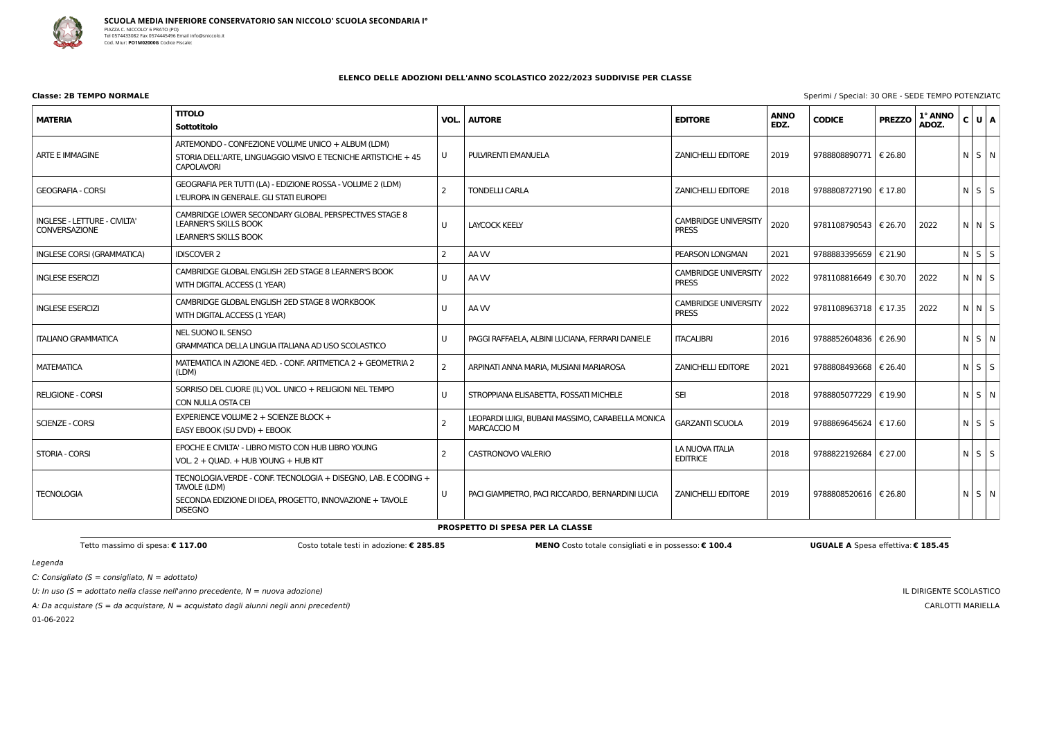

C: Consigliato ( $S =$  consigliato,  $N =$  adottato)

U: In uso ( $S =$  adottato nella classe nell'anno precedente,  $N =$  nuova adozione)

A: Da acquistare ( $S = da$  acquistare,  $N = ac$ quistato dagli alunni negli anni precedenti)

01-06-2022

|  |  | Sperimi / Special: 30 ORE - SEDE TEMPO POTENZIATO |
|--|--|---------------------------------------------------|
|  |  |                                                   |

IL DIRIGENTE SCOLASTICO CARLOTTI MARIELLA

### **ELENCO DELLE ADOZIONI DELL'ANNO SCOLASTICO 2022/2023 SUDDIVISE PER CLASSE**

# **Classe: 2B TEMPO NORMALE** Sperimi / Special: 30

| <b>MATERIA</b>                                       | <b>TITOLO</b><br>Sottotitolo                                                                                                                                 | VOL.                  | <b>AUTORE</b>                                                          | <b>EDITORE</b>                              | <b>ANNO</b><br>EDZ. | <b>CODICE</b>           | <b>PREZZO</b>    | 1° ANNO<br>ADOZ. | C U A             |  |
|------------------------------------------------------|--------------------------------------------------------------------------------------------------------------------------------------------------------------|-----------------------|------------------------------------------------------------------------|---------------------------------------------|---------------------|-------------------------|------------------|------------------|-------------------|--|
| <b>ARTE E IMMAGINE</b>                               | ARTEMONDO - CONFEZIONE VOLUME UNICO + ALBUM (LDM)<br>STORIA DELL'ARTE, LINGUAGGIO VISIVO E TECNICHE ARTISTICHE + 45<br><b>CAPOLAVORI</b>                     | U                     | PULVIRENTI EMANUELA                                                    | <b>ZANICHELLI EDITORE</b>                   | 2019                | 9788808890771   € 26.80 |                  |                  | $N$ $S$ $N$       |  |
| <b>GEOGRAFIA - CORSI</b>                             | GEOGRAFIA PER TUTTI (LA) - EDIZIONE ROSSA - VOLUME 2 (LDM)<br>L'EUROPA IN GENERALE. GLI STATI EUROPEI                                                        | $\mathcal{P}$         | <b>TONDELLI CARLA</b>                                                  | <b>ZANICHELLI EDITORE</b>                   | 2018                | 9788808727190   € 17.80 |                  |                  | $N$ $S$ $S$       |  |
| INGLESE - LETTURE - CIVILTA'<br><b>CONVERSAZIONE</b> | CAMBRIDGE LOWER SECONDARY GLOBAL PERSPECTIVES STAGE 8<br><b>LEARNER'S SKILLS BOOK</b><br><b>LEARNER'S SKILLS BOOK</b>                                        | U                     | <b>LAYCOCK KEELY</b>                                                   | <b>CAMBRIDGE UNIVERSITY</b><br><b>PRESS</b> | 2020                | 9781108790543   € 26.70 |                  | 2022             | $N$ $N$ $S$       |  |
| <b>INGLESE CORSI (GRAMMATICA)</b>                    | <b>IDISCOVER 2</b>                                                                                                                                           | $\mathbf{2}^{\prime}$ | AA W                                                                   | PEARSON LONGMAN                             | 2021                | 9788883395659   € 21.90 |                  |                  | $N$ $S$ $S$       |  |
| <b>INGLESE ESERCIZI</b>                              | CAMBRIDGE GLOBAL ENGLISH 2ED STAGE 8 LEARNER'S BOOK<br>WITH DIGITAL ACCESS (1 YEAR)                                                                          | U                     | AA W                                                                   | <b>CAMBRIDGE UNIVERSITY</b><br><b>PRESS</b> | 2022                | 9781108816649   € 30.70 |                  | 2022             | $N$ $N$ $S$       |  |
| <b>INGLESE ESERCIZI</b>                              | CAMBRIDGE GLOBAL ENGLISH 2ED STAGE 8 WORKBOOK<br>WITH DIGITAL ACCESS (1 YEAR)                                                                                | U                     | AA W                                                                   | <b>CAMBRIDGE UNIVERSITY</b><br><b>PRESS</b> | 2022                | 9781108963718           | $\epsilon$ 17.35 | 2022             | $N$ $N$ $S$       |  |
| <b>ITALIANO GRAMMATICA</b>                           | NEL SUONO IL SENSO<br>GRAMMATICA DELLA LINGUA ITALIANA AD USO SCOLASTICO                                                                                     | U                     | PAGGI RAFFAELA, ALBINI LUCIANA, FERRARI DANIELE                        | <b>ITACALIBRI</b>                           | 2016                | 9788852604836   € 26.90 |                  |                  | NSN               |  |
| <b>MATEMATICA</b>                                    | MATEMATICA IN AZIONE 4ED. - CONF. ARITMETICA 2 + GEOMETRIA 2<br>(LDM)                                                                                        | $\overline{2}$        | ARPINATI ANNA MARIA, MUSIANI MARIAROSA                                 | <b>ZANICHELLI EDITORE</b>                   | 2021                | 9788808493668   € 26.40 |                  |                  | $N \mid S \mid S$ |  |
| <b>RELIGIONE - CORSI</b>                             | SORRISO DEL CUORE (IL) VOL. UNICO + RELIGIONI NEL TEMPO<br>CON NULLA OSTA CEI                                                                                | U                     | STROPPIANA ELISABETTA, FOSSATI MICHELE                                 | <b>SEI</b>                                  | 2018                | 9788805077229   € 19.90 |                  |                  | $N$ $S$ $N$       |  |
| <b>SCIENZE - CORSI</b>                               | EXPERIENCE VOLUME 2 + SCIENZE BLOCK +<br>EASY EBOOK (SU DVD) + EBOOK                                                                                         |                       | LEOPARDI LUIGI, BUBANI MASSIMO, CARABELLA MONICA<br><b>MARCACCIO M</b> | <b>GARZANTI SCUOLA</b>                      | 2019                | 9788869645624   € 17.60 |                  |                  | $N$ $S$ $S$       |  |
| <b>STORIA - CORSI</b>                                | EPOCHE E CIVILTA' - LIBRO MISTO CON HUB LIBRO YOUNG<br>VOL. 2 + QUAD. + HUB YOUNG + HUB KIT                                                                  | $\mathcal{P}$         | CASTRONOVO VALERIO                                                     | LA NUOVA ITALIA<br><b>EDITRICE</b>          | 2018                | 9788822192684   € 27.00 |                  |                  | $N$ $S$ $S$       |  |
| <b>TECNOLOGIA</b>                                    | TECNOLOGIA.VERDE - CONF. TECNOLOGIA + DISEGNO, LAB. E CODING +<br>TAVOLE (LDM)<br>SECONDA EDIZIONE DI IDEA, PROGETTO, INNOVAZIONE + TAVOLE<br><b>DISEGNO</b> | U                     | PACI GIAMPIETRO, PACI RICCARDO, BERNARDINI LUCIA                       | <b>ZANICHELLI EDITORE</b>                   | 2019                | 9788808520616   € 26.80 |                  |                  | NSN               |  |

**PROSPETTO DI SPESA PER LA CLASSE**

Tetto massimo di spesa: € 117.00 Costo totale testi in adozione: € 285.85 MENO Costo totale consigliati e in possesso: € 100.4 UGUALE A Spesa effettiva: € 185.45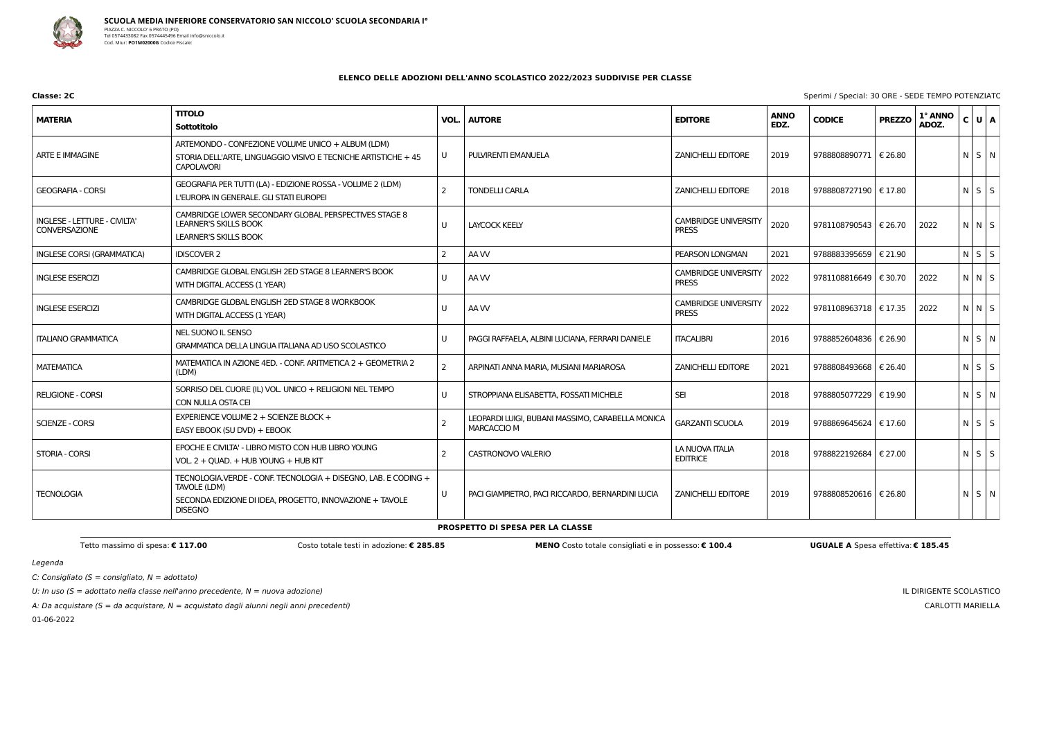

C: Consigliato ( $S =$  consigliato,  $N =$  adottato)

U: In uso ( $S =$  adottato nella classe nell'anno precedente,  $N =$  nuova adozione)

A: Da acquistare ( $S = da$  acquistare,  $N = ac$ quistato dagli alunni negli anni precedenti)

01-06-2022

IL DIRIGENTE SCOLASTICO CARLOTTI MARIELLA

### **ELENCO DELLE ADOZIONI DELL'ANNO SCOLASTICO 2022/2023 SUDDIVISE PER CLASSE**

| <b>MATERIA</b>                                       | <b>TITOLO</b><br>Sottotitolo                                                                                                                                 | VOL.           | <b>AUTORE</b>                                                          | <b>EDITORE</b>                              | <b>ANNO</b><br>EDZ. | <b>CODICE</b>           | <b>PREZZO</b> | 1° ANNO<br>ADOZ. | C U A             |  |
|------------------------------------------------------|--------------------------------------------------------------------------------------------------------------------------------------------------------------|----------------|------------------------------------------------------------------------|---------------------------------------------|---------------------|-------------------------|---------------|------------------|-------------------|--|
| <b>ARTE E IMMAGINE</b>                               | ARTEMONDO - CONFEZIONE VOLUME UNICO + ALBUM (LDM)<br>STORIA DELL'ARTE, LINGUAGGIO VISIVO E TECNICHE ARTISTICHE + 45<br><b>CAPOLAVORI</b>                     | U              | PULVIRENTI EMANUELA                                                    | <b>ZANICHELLI EDITORE</b>                   | 2019                | 9788808890771   € 26.80 |               |                  | NSN               |  |
| <b>GEOGRAFIA - CORSI</b>                             | GEOGRAFIA PER TUTTI (LA) - EDIZIONE ROSSA - VOLUME 2 (LDM)<br>L'EUROPA IN GENERALE. GLI STATI EUROPEI                                                        | $\overline{2}$ | <b>TONDELLI CARLA</b>                                                  | <b>ZANICHELLI EDITORE</b>                   | 2018                | 9788808727190   € 17.80 |               |                  | $N$ $S$ $S$       |  |
| INGLESE - LETTURE - CIVILTA'<br><b>CONVERSAZIONE</b> | CAMBRIDGE LOWER SECONDARY GLOBAL PERSPECTIVES STAGE 8<br><b>LEARNER'S SKILLS BOOK</b><br><b>LEARNER'S SKILLS BOOK</b>                                        | U              | <b>LAYCOCK KEELY</b>                                                   | <b>CAMBRIDGE UNIVERSITY</b><br><b>PRESS</b> | 2020                | 9781108790543   € 26.70 |               | 2022             | N N S             |  |
| <b>INGLESE CORSI (GRAMMATICA)</b>                    | <b>IDISCOVER 2</b>                                                                                                                                           | 2              | AA W                                                                   | PEARSON LONGMAN                             | 2021                | 9788883395659   € 21.90 |               |                  | $N$ $S$ $S$       |  |
| <b>INGLESE ESERCIZI</b>                              | CAMBRIDGE GLOBAL ENGLISH 2ED STAGE 8 LEARNER'S BOOK<br>WITH DIGITAL ACCESS (1 YEAR)                                                                          | U              | AA W                                                                   | <b>CAMBRIDGE UNIVERSITY</b><br><b>PRESS</b> | 2022                | 9781108816649   € 30.70 |               | 2022             | $N$ $N$ $S$       |  |
| <b>INGLESE ESERCIZI</b>                              | CAMBRIDGE GLOBAL ENGLISH 2ED STAGE 8 WORKBOOK<br>WITH DIGITAL ACCESS (1 YEAR)                                                                                | U              | AA W                                                                   | <b>CAMBRIDGE UNIVERSITY</b><br><b>PRESS</b> | 2022                | 9781108963718   € 17.35 |               | 2022             | $N$ $N$ $S$       |  |
| <b>ITALIANO GRAMMATICA</b>                           | NEL SUONO IL SENSO<br>GRAMMATICA DELLA LINGUA ITALIANA AD USO SCOLASTICO                                                                                     | U              | PAGGI RAFFAELA, ALBINI LUCIANA, FERRARI DANIELE                        | <b>ITACALIBRI</b>                           | 2016                | 9788852604836   € 26.90 |               |                  | $N$ $S$ $N$       |  |
| <b>MATEMATICA</b>                                    | MATEMATICA IN AZIONE 4ED. - CONF. ARITMETICA 2 + GEOMETRIA 2<br>(LDM)                                                                                        | $\overline{2}$ | ARPINATI ANNA MARIA, MUSIANI MARIAROSA                                 | <b>ZANICHELLI EDITORE</b>                   | 2021                | 9788808493668           | € 26.40       |                  | $N$ $S$ $S$       |  |
| <b>RELIGIONE - CORSI</b>                             | SORRISO DEL CUORE (IL) VOL. UNICO + RELIGIONI NEL TEMPO<br>CON NULLA OSTA CEI                                                                                | U              | STROPPIANA ELISABETTA, FOSSATI MICHELE                                 | <b>SEI</b>                                  | 2018                | 9788805077229           | € 19.90       |                  | N S N             |  |
| <b>SCIENZE - CORSI</b>                               | EXPERIENCE VOLUME 2 + SCIENZE BLOCK +<br>EASY EBOOK (SU DVD) + EBOOK                                                                                         | $\mathcal{P}$  | LEOPARDI LUIGI, BUBANI MASSIMO, CARABELLA MONICA<br><b>MARCACCIO M</b> | <b>GARZANTI SCUOLA</b>                      | 2019                | 9788869645624   € 17.60 |               |                  | $N$ $S$ $S$       |  |
| <b>STORIA - CORSI</b>                                | EPOCHE E CIVILTA' - LIBRO MISTO CON HUB LIBRO YOUNG<br>VOL. 2 + QUAD. + HUB YOUNG + HUB KIT                                                                  | 2              | <b>CASTRONOVO VALERIO</b>                                              | LA NUOVA ITALIA<br><b>EDITRICE</b>          | 2018                | 9788822192684   € 27.00 |               |                  | $N \mid S \mid S$ |  |
| <b>TECNOLOGIA</b>                                    | TECNOLOGIA.VERDE - CONF. TECNOLOGIA + DISEGNO, LAB. E CODING +<br>TAVOLE (LDM)<br>SECONDA EDIZIONE DI IDEA, PROGETTO, INNOVAZIONE + TAVOLE<br><b>DISEGNO</b> | U              | PACI GIAMPIETRO, PACI RICCARDO, BERNARDINI LUCIA                       | <b>ZANICHELLI EDITORE</b>                   | 2019                | 9788808520616   € 26.80 |               |                  | $N$ $S$ $N$       |  |

**PROSPETTO DI SPESA PER LA CLASSE**

Tetto massimo di spesa: € 117.00 Costo totale testi in adozione: € 285.85 MENO Costo totale consigliati e in possesso: € 100.4 UGUALE A Spesa effettiva: € 185.45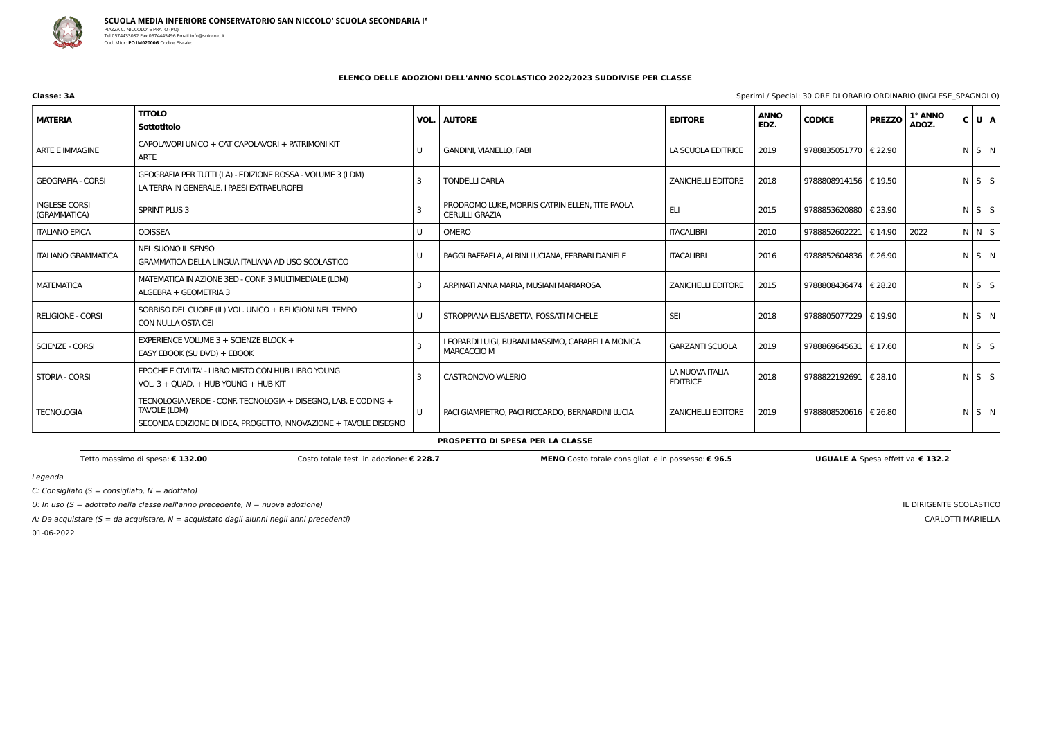

**Classe: 3A** Sperimi / Special: 30 ORE DI ORARIO ORDINARIO (INGLESE\_SPAGNOLO)

 $C:$  Consigliato (S = consigliato,  $N =$  adottato)

U: In uso ( $S =$  adottato nella classe nell'anno precedente,  $N =$  nuova adozione)

A: Da acquistare ( $S = da$  acquistare,  $N = ac$ quistato dagli alunni negli anni precedenti)

01-06-2022

IL DIRIGENTE SCOLASTICO CARLOTTI MARIELLA

## **ELENCO DELLE ADOZIONI DELL'ANNO SCOLASTICO 2022/2023 SUDDIVISE PER CLASSE**

| <b>MATERIA</b>                       | <b>TITOLO</b><br><b>Sottotitolo</b>                                                                                                                | VOL. | <b>AUTORE</b>                                                           | <b>EDITORE</b>                     | <b>ANNO</b><br>EDZ. | <b>CODICE</b>           | <b>PREZZO</b>    | 1° ANNO<br>ADOZ. | $C$ U $A$         |  |
|--------------------------------------|----------------------------------------------------------------------------------------------------------------------------------------------------|------|-------------------------------------------------------------------------|------------------------------------|---------------------|-------------------------|------------------|------------------|-------------------|--|
| ARTE E IMMAGINE                      | CAPOLAVORI UNICO + CAT CAPOLAVORI + PATRIMONI KIT<br>ARTE                                                                                          |      | <b>GANDINI, VIANELLO, FABI</b>                                          | LA SCUOLA EDITRICE                 | 2019                | 9788835051770   € 22.90 |                  |                  | N S N             |  |
| <b>GEOGRAFIA - CORSI</b>             | GEOGRAFIA PER TUTTI (LA) - EDIZIONE ROSSA - VOLUME 3 (LDM)<br>LA TERRA IN GENERALE. I PAESI EXTRAEUROPEI                                           |      | <b>TONDELLI CARLA</b>                                                   | <b>ZANICHELLI EDITORE</b>          | 2018                | 9788808914156   € 19.50 |                  |                  | $N$ $S$ $S$       |  |
| <b>INGLESE CORSI</b><br>(GRAMMATICA) | SPRINT PLUS 3                                                                                                                                      |      | PRODROMO LUKE, MORRIS CATRIN ELLEN, TITE PAOLA<br><b>CERULLI GRAZIA</b> | ELI                                | 2015                | 9788853620880   € 23.90 |                  |                  | $N$ $S$ $S$       |  |
| <b>ITALIANO EPICA</b>                | <b>ODISSEA</b>                                                                                                                                     | U    | <b>OMERO</b>                                                            | <b>ITACALIBRI</b>                  | 2010                | 9788852602221           | $\epsilon$ 14.90 | 2022             | $N$ $N$ $S$       |  |
| <b>ITALIANO GRAMMATICA</b>           | NEL SUONO IL SENSO<br>GRAMMATICA DELLA LINGUA ITALIANA AD USO SCOLASTICO                                                                           |      | PAGGI RAFFAELA, ALBINI LUCIANA, FERRARI DANIELE                         | <b>ITACALIBRI</b>                  | 2016                | 9788852604836   € 26.90 |                  |                  | N S N             |  |
| <b>MATEMATICA</b>                    | MATEMATICA IN AZIONE 3ED - CONF. 3 MULTIMEDIALE (LDM)<br>ALGEBRA + GEOMETRIA 3                                                                     |      | ARPINATI ANNA MARIA, MUSIANI MARIAROSA                                  | <b>ZANICHELLI EDITORE</b>          | 2015                | 9788808436474   € 28.20 |                  |                  | $N \mid S \mid S$ |  |
| <b>RELIGIONE - CORSI</b>             | SORRISO DEL CUORE (IL) VOL. UNICO + RELIGIONI NEL TEMPO<br>CON NULLA OSTA CEI                                                                      | U    | STROPPIANA ELISABETTA, FOSSATI MICHELE                                  | <b>SEI</b>                         | 2018                | 9788805077229   € 19.90 |                  |                  | $N \mid S \mid N$ |  |
| <b>SCIENZE - CORSI</b>               | EXPERIENCE VOLUME $3 +$ SCIENZE BLOCK +<br>EASY EBOOK (SU DVD) + EBOOK                                                                             |      | LEOPARDI LUIGI, BUBANI MASSIMO, CARABELLA MONICA<br><b>MARCACCIO M</b>  | <b>GARZANTI SCUOLA</b>             | 2019                | 9788869645631   € 17.60 |                  |                  | $N$ $S$ $S$       |  |
| STORIA - CORSI                       | EPOCHE E CIVILTA' - LIBRO MISTO CON HUB LIBRO YOUNG<br>VOL. 3 + QUAD. + HUB YOUNG + HUB KIT                                                        |      | CASTRONOVO VALERIO                                                      | LA NUOVA ITALIA<br><b>EDITRICE</b> | 2018                | 9788822192691   € 28.10 |                  |                  | NSS               |  |
| <b>TECNOLOGIA</b>                    | TECNOLOGIA.VERDE - CONF. TECNOLOGIA + DISEGNO, LAB. E CODING +<br>TAVOLE (LDM)<br>SECONDA EDIZIONE DI IDEA, PROGETTO, INNOVAZIONE + TAVOLE DISEGNO | U    | PACI GIAMPIETRO, PACI RICCARDO, BERNARDINI LUCIA                        | <b>ZANICHELLI EDITORE</b>          | 2019                | 9788808520616   € 26.80 |                  |                  | N S N             |  |

#### **PROSPETTO DI SPESA PER LA CLASSE**

Tetto massimo di spesa: € 132.00 Costo totale testi in adozione: € 228.7 MENO Costo totale consigliati e in possesso: € 96.5 UGUALE A Spesa effettiva: € 132.2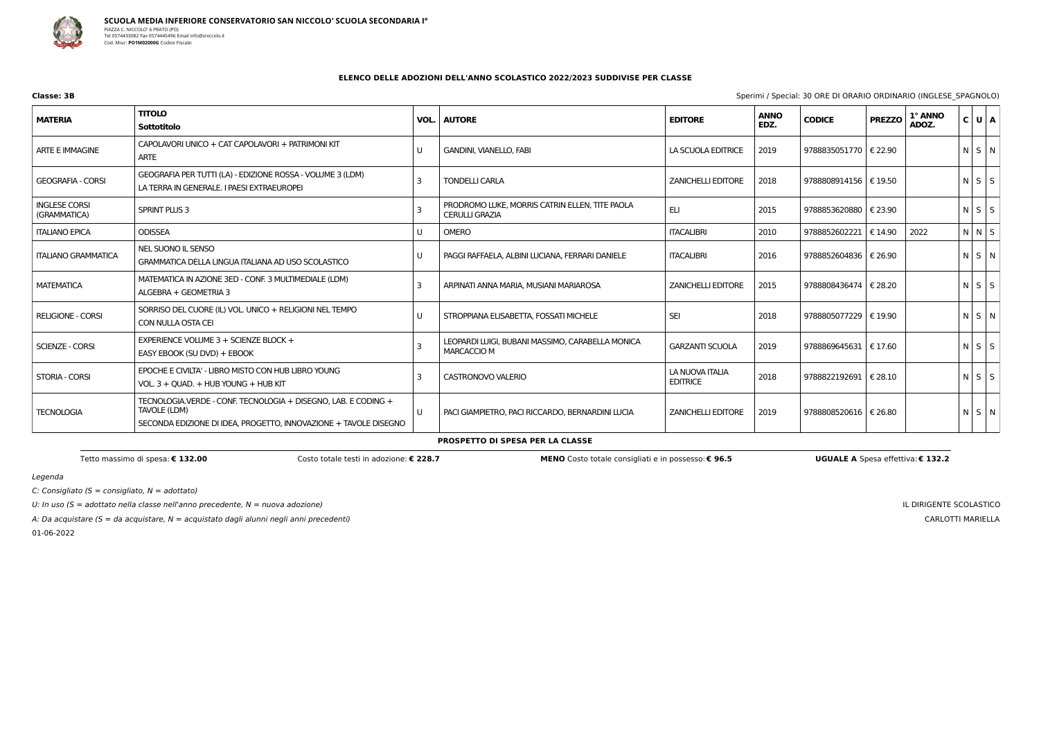

**Classe: 3B** Sperimi / Special: 30 ORE DI ORARIO ORDINARIO (INGLESE\_SPAGNOLO)

 $C:$  Consigliato (S = consigliato,  $N =$  adottato)

U: In uso ( $S =$  adottato nella classe nell'anno precedente,  $N =$  nuova adozione)

A: Da acquistare ( $S = da$  acquistare,  $N = ac$ quistato dagli alunni negli anni precedenti)

01-06-2022

IL DIRIGENTE SCOLASTICO CARLOTTI MARIELLA

## **ELENCO DELLE ADOZIONI DELL'ANNO SCOLASTICO 2022/2023 SUDDIVISE PER CLASSE**

| <b>MATERIA</b>                       | <b>TITOLO</b><br>Sottotitolo                                                                                                                       | VOL. | <b>AUTORE</b>                                                           | <b>EDITORE</b>                     | <b>ANNO</b><br>EDZ. | <b>CODICE</b>           | <b>PREZZO</b>    | 1° ANNO<br>ADOZ. | C U A       |  |
|--------------------------------------|----------------------------------------------------------------------------------------------------------------------------------------------------|------|-------------------------------------------------------------------------|------------------------------------|---------------------|-------------------------|------------------|------------------|-------------|--|
| ARTE E IMMAGINE                      | CAPOLAVORI UNICO + CAT CAPOLAVORI + PATRIMONI KIT<br>ARTE                                                                                          |      | <b>GANDINI, VIANELLO, FABI</b>                                          | LA SCUOLA EDITRICE                 | 2019                | 9788835051770   € 22.90 |                  |                  | N S N       |  |
| <b>GEOGRAFIA - CORSI</b>             | GEOGRAFIA PER TUTTI (LA) - EDIZIONE ROSSA - VOLUME 3 (LDM)<br>LA TERRA IN GENERALE. I PAESI EXTRAEUROPEI                                           |      | <b>TONDELLI CARLA</b>                                                   | <b>ZANICHELLI EDITORE</b>          | 2018                | 9788808914156   € 19.50 |                  |                  | $N$ $S$ $S$ |  |
| <b>INGLESE CORSI</b><br>(GRAMMATICA) | <b>SPRINT PLUS 3</b>                                                                                                                               |      | PRODROMO LUKE, MORRIS CATRIN ELLEN, TITE PAOLA<br><b>CERULLI GRAZIA</b> | <b>ELI</b>                         | 2015                | 9788853620880           | € 23.90          |                  | NSS         |  |
| <b>ITALIANO EPICA</b>                | <b>ODISSEA</b>                                                                                                                                     | U    | <b>OMERO</b>                                                            | <b>ITACALIBRI</b>                  | 2010                | 9788852602221           | $\epsilon$ 14.90 | 2022             | N N S       |  |
| <b>ITALIANO GRAMMATICA</b>           | NEL SUONO IL SENSO<br>GRAMMATICA DELLA LINGUA ITALIANA AD USO SCOLASTICO                                                                           |      | PAGGI RAFFAELA, ALBINI LUCIANA, FERRARI DANIELE                         | <b>ITACALIBRI</b>                  | 2016                | 9788852604836   € 26.90 |                  |                  | N S N       |  |
| <b>MATEMATICA</b>                    | MATEMATICA IN AZIONE 3ED - CONF. 3 MULTIMEDIALE (LDM)<br>ALGEBRA + GEOMETRIA 3                                                                     |      | ARPINATI ANNA MARIA, MUSIANI MARIAROSA                                  | <b>ZANICHELLI EDITORE</b>          | 2015                | 9788808436474   € 28.20 |                  |                  | $N$ $S$ $S$ |  |
| <b>RELIGIONE - CORSI</b>             | SORRISO DEL CUORE (IL) VOL. UNICO + RELIGIONI NEL TEMPO<br>CON NULLA OSTA CEI                                                                      | U    | STROPPIANA ELISABETTA, FOSSATI MICHELE                                  | <b>SEI</b>                         | 2018                | 9788805077229   € 19.90 |                  |                  | N S N       |  |
| <b>SCIENZE - CORSI</b>               | EXPERIENCE VOLUME $3 +$ SCIENZE BLOCK +<br>EASY EBOOK (SU DVD) + EBOOK                                                                             |      | LEOPARDI LUIGI, BUBANI MASSIMO, CARABELLA MONICA<br><b>MARCACCIO M</b>  | <b>GARZANTI SCUOLA</b>             | 2019                | 9788869645631   € 17.60 |                  |                  | $N$ $S$ $S$ |  |
| STORIA - CORSI                       | EPOCHE E CIVILTA' - LIBRO MISTO CON HUB LIBRO YOUNG<br>VOL. 3 + QUAD. + HUB YOUNG + HUB KIT                                                        |      | CASTRONOVO VALERIO                                                      | LA NUOVA ITALIA<br><b>EDITRICE</b> | 2018                | 9788822192691   € 28.10 |                  |                  | NSS         |  |
| <b>TECNOLOGIA</b>                    | TECNOLOGIA.VERDE - CONF. TECNOLOGIA + DISEGNO, LAB. E CODING +<br>TAVOLE (LDM)<br>SECONDA EDIZIONE DI IDEA, PROGETTO, INNOVAZIONE + TAVOLE DISEGNO | U    | PACI GIAMPIETRO, PACI RICCARDO, BERNARDINI LUCIA                        | <b>ZANICHELLI EDITORE</b>          | 2019                | 9788808520616   € 26.80 |                  |                  | $N$ $S$ $N$ |  |

#### **PROSPETTO DI SPESA PER LA CLASSE**

Tetto massimo di spesa: € 132.00 Costo totale testi in adozione: € 228.7 MENO Costo totale consigliati e in possesso: € 96.5 UGUALE A Spesa effettiva: € 132.2